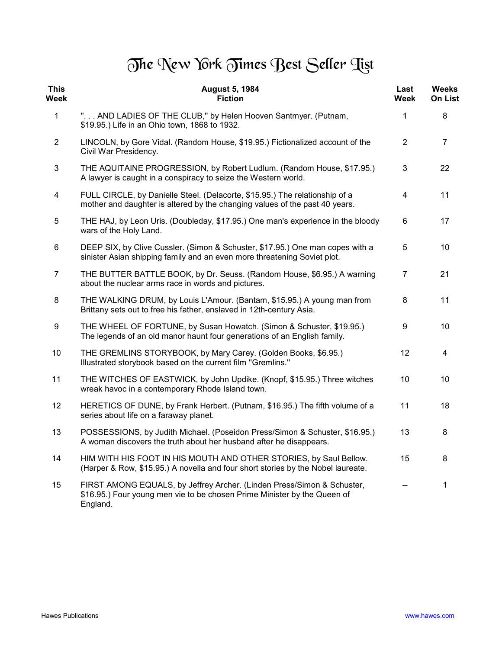## The New York Times Best Seller Tist

| <b>This</b><br>Week     | <b>August 5, 1984</b><br><b>Fiction</b>                                                                                                                        | Last<br>Week   | <b>Weeks</b><br><b>On List</b> |
|-------------------------|----------------------------------------------------------------------------------------------------------------------------------------------------------------|----------------|--------------------------------|
| $\mathbf{1}$            | " AND LADIES OF THE CLUB," by Helen Hooven Santmyer. (Putnam,<br>\$19.95.) Life in an Ohio town, 1868 to 1932.                                                 | $\mathbf{1}$   | 8                              |
| $\overline{2}$          | LINCOLN, by Gore Vidal. (Random House, \$19.95.) Fictionalized account of the<br>Civil War Presidency.                                                         | $\overline{2}$ | $\overline{7}$                 |
| $\mathfrak{S}$          | THE AQUITAINE PROGRESSION, by Robert Ludlum. (Random House, \$17.95.)<br>A lawyer is caught in a conspiracy to seize the Western world.                        | 3              | 22                             |
| $\overline{\mathbf{4}}$ | FULL CIRCLE, by Danielle Steel. (Delacorte, \$15.95.) The relationship of a<br>mother and daughter is altered by the changing values of the past 40 years.     | 4              | 11                             |
| 5                       | THE HAJ, by Leon Uris. (Doubleday, \$17.95.) One man's experience in the bloody<br>wars of the Holy Land.                                                      | 6              | 17                             |
| 6                       | DEEP SIX, by Clive Cussler. (Simon & Schuster, \$17.95.) One man copes with a<br>sinister Asian shipping family and an even more threatening Soviet plot.      | 5              | 10                             |
| $\overline{7}$          | THE BUTTER BATTLE BOOK, by Dr. Seuss. (Random House, \$6.95.) A warning<br>about the nuclear arms race in words and pictures.                                  | $\overline{7}$ | 21                             |
| 8                       | THE WALKING DRUM, by Louis L'Amour. (Bantam, \$15.95.) A young man from<br>Brittany sets out to free his father, enslaved in 12th-century Asia.                | 8              | 11                             |
| 9                       | THE WHEEL OF FORTUNE, by Susan Howatch. (Simon & Schuster, \$19.95.)<br>The legends of an old manor haunt four generations of an English family.               | 9              | 10                             |
| 10                      | THE GREMLINS STORYBOOK, by Mary Carey. (Golden Books, \$6.95.)<br>Illustrated storybook based on the current film "Gremlins."                                  | 12             | 4                              |
| 11                      | THE WITCHES OF EASTWICK, by John Updike. (Knopf, \$15.95.) Three witches<br>wreak havoc in a contemporary Rhode Island town.                                   | 10             | 10                             |
| 12                      | HERETICS OF DUNE, by Frank Herbert. (Putnam, \$16.95.) The fifth volume of a<br>series about life on a faraway planet.                                         | 11             | 18                             |
| 13                      | POSSESSIONS, by Judith Michael. (Poseidon Press/Simon & Schuster, \$16.95.)<br>A woman discovers the truth about her husband after he disappears.              | 13             | 8                              |
| 14                      | HIM WITH HIS FOOT IN HIS MOUTH AND OTHER STORIES, by Saul Bellow.<br>(Harper & Row, \$15.95.) A novella and four short stories by the Nobel laureate.          | 15             | 8                              |
| 15                      | FIRST AMONG EQUALS, by Jeffrey Archer. (Linden Press/Simon & Schuster,<br>\$16.95.) Four young men vie to be chosen Prime Minister by the Queen of<br>England. | $-$            | 1                              |